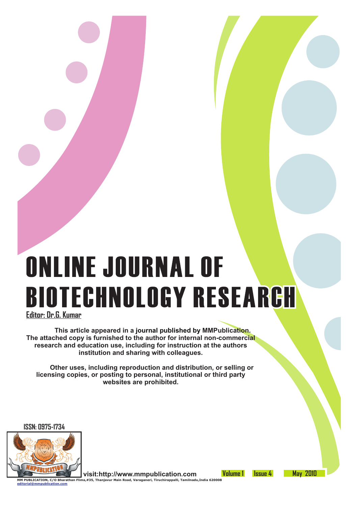# **ONLINE JOURNAL OF BIOTECHNOLOGY RESEARCH**

**Editor: Dr.G. Kumar**

 **This article appeared in a journal published by MMPublication. The attached copy is furnished to the author for internal non-commercial research and education use, including for instruction at the authors institution and sharing with colleagues.**

 **Other uses, including reproduction and distribution, or selling or licensing copies, or posting to personal, institutional or third party websites are prohibited.**

**ISSN: 0975-1734**



**editorial@mmpublication.com**

 **visit:http://www.mmpublication.com MM PUBLICATION, C/O Bharathan Flims,#35, Thanjavur Main Road, Varaganeri, Tiruchirappalli, Tamilnadu,India 620008**

**Volume 1 Issue 4 May 2010**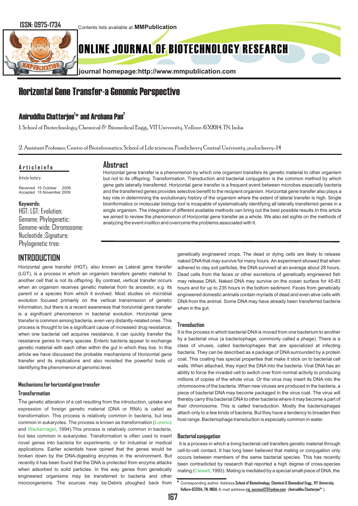Contents lists available at **MMPublication**



# ONLINE JOURNAL OF BIOTECHNOLOGY RESEARCH

**journal homepage:http://www.mmpublication.com**

# Horizontal Gene Transfer-a Genomic Perspective

### Aniruddha Chatterjee<sup>1</sup>\* and Archana Pan<sup>2</sup>

1. School of Biotechnology, Chemical & Biomedical Engg., VIT University, Vellore-632014, TN, India

2. Assistant Professor, Centre of Bioinformatics, School of Life sciences, Pondicherry Central University, puducherry-14

#### **A r t i c l e i n f o**

Article history:

Received 15 October 2009 Accepted 15 November 2009

#### **Keywords:**

HGT; LGT; Evolution; Genome; Phylogenetic; Genome-wide; Chromosome; Nucleotide ;Signature; Phylogenetic tree:

## **INTRODUCTION**

Horizontal gene transfer (HGT), also known as Lateral gene transfer (LGT), is a process in which an organism transfers genetic material to another cell that is not its offspring. By contrast, *v*ertical transfer occurs when an organism receives genetic material from its ancestor, e.g. its parent or a species from which it evolved. Most studies on microbial evolution focused primarily on the vertical transmission of genetic information, but there is a recent awareness that horizontal gene transfer is a significant phenomenon in bacterial evolution. Horizontal gene transfer is common among bacteria, even very distantly-related ones. This process is thought to be a significant cause of increased drug resistance; when one bacterial cell acquires resistance, it can quickly transfer the resistance genes to many species. Enteric bacteria appear to exchange genetic material with each other within the gut in which they live. In this article we have discussed the probable mechanisms of Horizontal gene transfer and its implications and also revisited the powerful tools of identifying the phenomenon at genomic level.

#### **Mechanisms for horizontal gene transfer**

#### **Transformation**

applications. Earlier scientists have opined that the genes would be broken down by the DNA-digesting enzymes in the environment. But recently it has been found that the DNA is protected from enzyme attacks when adsorbed to solid particles. In this way genes from genetically engineered organisms may be transferred to bacteria and other microorganisms. The sources may be:Debris ploughed back from The genetic alteration of a cell resulting from the introduction, uptake and expression of foreign genetic material (DNA or RNA) is called as transformation. This process is relatively common in bacteria, but less common in eukaryotes. The process is known as transformation ( Lorencz and Wackernagel, 1994). This process is relatively common in bacteria, but less common in eukaryotes. Transformation is often used to insert novel genes into bacteria for experiments, or for industrial or medical

**Abstract**  Horizontal gene transfer is a phenomenon by which one organism transfers its genetic material to other organism but not to its offspring. Transformation, Transduction and bacterial conjugation is the common method by which gene gets laterally transferred. Horizontal gene transfer is a frequent event between microbes especially bacteria and the transferred genes provides selective benefit to the recipient organism. Horizontal gene transfer also plays a key role in determining the evolutionary history of the organism where the extent of lateral transfer is high. Single bioinformatics or molecular biology tool is incapable of systematically identifying all laterally transferred genes in a single organism. The integration of different available methods can bring out the best possible results.In this article we aimed to review the phenomenon of Horizontal gene transfer as a whole. We also set sights on the methods of analyzing the event *insillico* and overcome the problems associated with it.

> genetically engineered crops. The dead or dying cells are likely to release naked DNA that may survive for many hours. An experiment showed that when adhered to clay soil particles, the DNA survived at an average about 28 hours. Dead cells from the feces or other excretions of genetically engineered fish may release DNA. Naked DNA may survive on the ocean surface for 45-83 hours and for up to 235 hours in the bottom sediment. Feces from genetically engineered domestic animals contain myriads of dead and even alive cells with DNA from the animal. Some DNA may have already been transferred bacteria when in the gut.

#### **Transduction**

It is the process in which bacterial DNAis moved from one bacterium to another by a bacterial virus (a bacteriophage, commonly called a phage). There is a class of viruses, called bacteriophages that are specialized at infecting bacteria. They can be described as a package of DNAsurrounded by a protein coat. This coating has special properties that make it stick on to bacterial cell walls. When attached, they inject the DNA into the bacteria. Viral DNA has an ability to force the invaded cell to switch over from normal activity to producing millions of copies of the whole virus. Or the virus may insert its DNA into the chromosome of the bacteria. When new viruses are produced in the bacteria, a piece of bacterial DNA may become packaged in the virus coat. The virus will thereby carry this bacterial DNAto other bacteria where it may become a part of their chromosome. This is called transduction. Mostly the bacteriophages attach only to a few kinds of bacteria. But they have a tendency to broaden their host range. Bacteriophage transduction is especially common in water.

#### **Bacterial conjugation**

It is a process in which a living bacterial cell transfers genetic material through cell-to-cell contact. It has long been believed that mating or conjugation only occurs between members of the same bacterial species. This has recently been contradicted by research that reported a high degree of cross-species mating (Clewell, 1993). Mating is mediated by a special small piece of DNA, the

**<sup>\*</sup>** Corresponding author. Address:**School of Biotechnology, Chemical & Biomedical Engg., VIT University, 1 Vellore-632014, TN, INDIA.** E-mail address:**raj\_success123@yahoo.com** (**Aniruddha Chatterjee \*** ).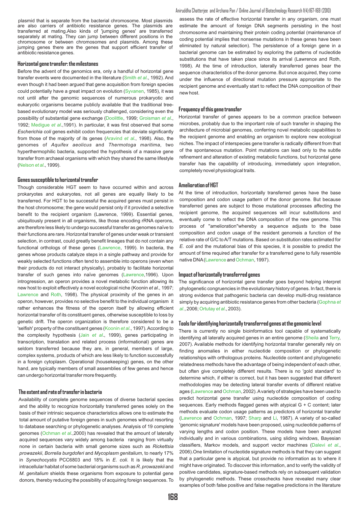plasmid that is separate from the bacterial chromosome. Most plasmids are also carriers of antibiotic resistance genes. The plasmids are transferred at mating.Also kinds of 'jumping genes' are transferred separately at mating. They can jump between different positions in the chromosome or between chromosomes and plasmids. Among these jumping genes there are the genes that support efficient transfer of antibiotic resistance genes.

#### **Horizontal gene transfer: the milestones**

Before the advent of the genomics era, only a handful of horizontal gene transfer events were documented in the literature (Smith *et al.*, 1992). And even though it had been argued that gene acquisition from foreign species could potentially have a great impact on evolution (Syvanen, 1985), it was not until after the genomic sequences of numerous prokaryotic and eukaryotic organisms became publicly available that the traditional treebased evolutionary model was seriously challenged, considering even the possibility of substantial gene exchange (Doolittle, 1999; Groisman *et al.*, 1992; Medigue et al.,1991). In particular, it was first observed that some *Escherichia coli* genes exhibit codon frequencies that deviate significantly from those of the majority of its genes (Aravind *et al.*, 1998). Also, the genomes of *Aquifex aeolicus* and *Thermotoga maritima*, two hyperthermophilic bacteria, supported the hypothesis of a massive gene transfer from archaeal organisms with which they shared the same lifestyle (Nelson *et al.*, 1999).

#### **Genes susceptible to horizontal transfer**

Though considerable HGT seem to have occurred within and across prokaryotes and eukaryotes, not all genes are equally likely to be transferred. For HGT to be successful the acquired genes must persist in the host chromosome; the gene would persist only if it provided a selective benefit to the recipient organism (Lawrence, 1999). Essential genes, ubiquitously present in all organisms, like those encoding rRNA operons, are therefore less likely to undergo successful transfer as genomes naïve to their functions are rare. Horizontal transfer of genes under weak or transient selection, in contrast, could greatly benefit lineages that do not contain any functional orthologs of these genes (Lawrence, 1999). In bacteria, the genes whose products catalyze steps in a single pathway and provide for weakly selected functions often tend to assemble into operons (even when their products do not interact physically), probably to facilitate horizontal transfer of such genes into naïve genomes (Lawrence, 1996). Upon introgression, an operon provides a novel metabolic function allowing its new host to exploit effectively a novel ecological niche (Koonin *et al*., 1997; Lawrence and Roth, 1998). The physical proximity of the genes in an operon, however, provides no selective benefit to the individual organism it rather enhances the fitness of the operon itself by allowing efficient horizontal transfer of its constituent genes, otherwise susceptible to loss by genetic drift. The operon organization is therefore considered to be a 'selfish' property of the constituent genes (Koonin *et al.*, 1997). According to the complexity hypothesis (Jain et al., 1999), genes participating in transcription, translation and related process (informational) genes are seldom transferred because they are, in general, members of large, complex systems, products of which are less likely to function successfully in a foreign cytoplasm. Operational (housekeeping) genes, on the other hand, are typically members of small assemblies of few genes and hence can undergo horizontal transfer more frequently.

#### **The extent and rate of transfer in bacteria**

Availability of complete genome sequences of diverse bacterial species and the ability to recognize horizontally transferred genes solely on the basis of their intrinsic sequence characteristics allows one to estimate the total amount of putative foreign genes in such genomes without resorting to database searching or phylogenetic analyses. Analysis of 19 complete genomes (Ochman et al.,2000) has revealed that the amount of laterally acquired sequences vary widely among bacteria ranging from virtually none in certain bacteria with small genome sizes such as *Rickettsia prowazekii*, *Borrelia burgdoferi* and *Mycoplasm genitalium*, to nearly 17% in *Synechocystis* PCC6803 and 18% in *E*. *coli*. It is likely that the intracellular habitat of some bacterial organisms such as *R*. *prowazekii* and *M*. *genitalium* shields these organisms from exposure to potential gene donors, thereby reducing the possibility of acquiring foreign sequences. To

#### Aniruddha Chatterjee and Archana Pan / Online Journal of Biotechnology Research 1(4):167-169 (2010)

assess the rate of effective horizontal transfer in any organism, one must estimate the amount of foreign DNA segments persisting in the host chromosome and maintaining their protein coding potential (maintenance of coding potential implies that nonsense mutations in these genes have been eliminated by natural selection). The persistence of a foreign gene in a bacterial genome can be estimated by exploring the patterns of nucleotide substitutions that have taken place since its arrival (Lawrence and Roth, 1998). At the time of introduction, laterally transferred genes bear the sequence characteristics of the donor genome. But once acquired, they come under the influence of directional mutation pressure appropriate to the recipient genome and eventually start to reflect the DNA composition of their new host.

#### **Frequency of this gene transfer**

Horizontal transfer of genes appears to be a common practice between microbes, probably due to the important role of such transfer in shaping the architecture of microbial genomes, conferring novel metabolic capabilities to the recipient genome and enabling an organism to explore new ecological niches. The impact of interspecies gene transfer is radically different from that of the spontaneous mutation. Point mutations can lead only to the subtle refinement and alteration of existing metabolic functions, but horizontal gene transfer has the capability of introducing, immediately upon integration, completely novel physiological traits.

#### **Amelioration of HGT**

At the time of introduction, horizontally transferred genes have the base composition and codon usage pattern of the donor genome. But because transferred genes are subject to those mutational processes affecting the recipient genome, the acquired sequences will incur substitutions and eventually come to reflect the DNA composition of the new genome. This process of ''amelioration''whereby a sequence adjusts to the base composition and codon usage of the resident genomeis a function of the relative rate of G/C to A/T mutations. Based on substitution rates estimated for *E. coli* and the mutational bias of this species, it is possible to predict the amount of time required after transfer for a transferred gene to fully resemble native DNA (Lawrence and Ochman, 1997).

#### **Impact of horizontally transferred genes**

The significance of horizontal gene transfer goes beyond helping interpret phylogenetic congruencies in the evolutionary history of genes. In fact, there is strong evidence that pathogenic bacteria can develop multi-drug resistance simply by acquiring antibiotic resistance genes from other bacteria ( Gophna *et al.*, 2006; Ortutay *et al.*, 2003).

#### **Tools for identifying horizontally transferred genes at the genomic level**

There is currently no single bioinformatics tool capable of systematically identifying all laterally acquired genes in an entire genome (Sheila and Terry, 2007). Available methods for identifying horizontal transfer generally rely on finding anomalies in either nucleotide composition or phylogenetic relationships with orthologous proteins. Nucleotide content and phylogenetic relatedness methods have the advantage of being independent of each other, but often give completely different results. There is no 'gold standard' to determine which, if either is correct, but it has been suggested that different methodologies may be detecting lateral transfer events of different relative ages (Lawrence and Ochman, 2002). A variety of strategies have been used to predict horizontal gene transfer using nucleotide composition of coding sequences. Early methods flagged genes with atypical G + C content; later methods evaluate codon usage patterns as predictors of horizontal transfer (Lawrence and Ochman, 1997; Sharp and Li, 1987). A variety of so-called 'genomic signature' models have been proposed, using nucleotide patterns of varying lengths and codon position. These models have been analyzed individually and in various combinations, using sliding windows, Bayesian classifiers, Markov models, and support vector machines (Dalevi et al., 2006).One limitation of nucleotide signature methods is that they can suggest that a particular gene is atypical, but provide no information as to where it might have originated. To discover this information, and to verify the validity of positive candidates, signature-based methods rely on subsequent validation by phylogenetic methods. These crosschecks have revealed many clear examples of both false positive and false negative predictions in the literature